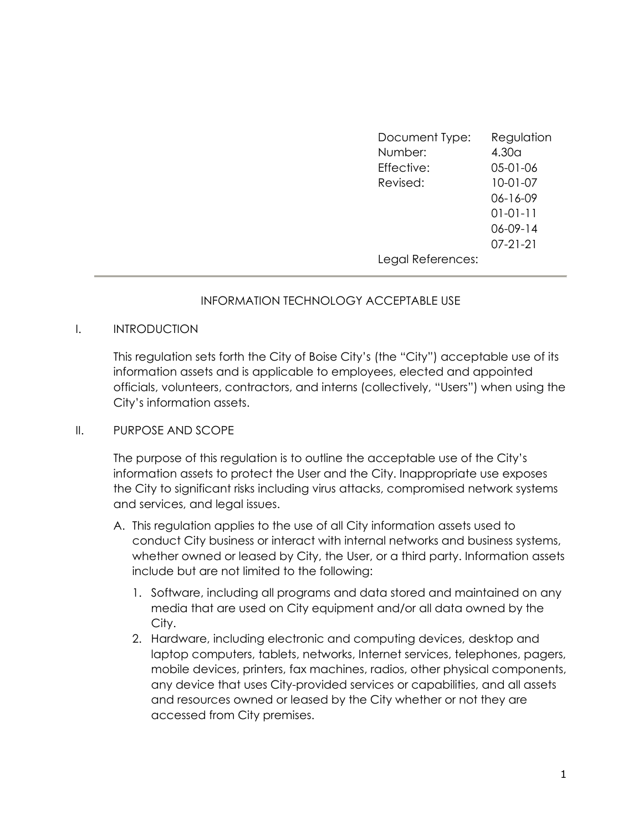| Document Type:    | Regulation        |
|-------------------|-------------------|
| Number:           | 4.30 <sub>a</sub> |
| Effective:        | 05-01-06          |
| Revised:          | $10-01-07$        |
|                   | 06-16-09          |
|                   | $01 - 01 - 11$    |
|                   | $06 - 09 - 14$    |
|                   | $07 - 21 - 21$    |
| Legal References: |                   |

## INFORMATION TECHNOLOGY ACCEPTABLE USE

#### I. INTRODUCTION

This regulation sets forth the City of Boise City's (the "City") acceptable use of its information assets and is applicable to employees, elected and appointed officials, volunteers, contractors, and interns (collectively, "Users") when using the City's information assets.

#### II. PURPOSE AND SCOPE

The purpose of this regulation is to outline the acceptable use of the City's information assets to protect the User and the City. Inappropriate use exposes the City to significant risks including virus attacks, compromised network systems and services, and legal issues.

- A. This regulation applies to the use of all City information assets used to conduct City business or interact with internal networks and business systems, whether owned or leased by City, the User, or a third party. Information assets include but are not limited to the following:
	- 1. Software, including all programs and data stored and maintained on any media that are used on City equipment and/or all data owned by the City.
	- 2. Hardware, including electronic and computing devices, desktop and laptop computers, tablets, networks, Internet services, telephones, pagers, mobile devices, printers, fax machines, radios, other physical components, any device that uses City-provided services or capabilities, and all assets and resources owned or leased by the City whether or not they are accessed from City premises.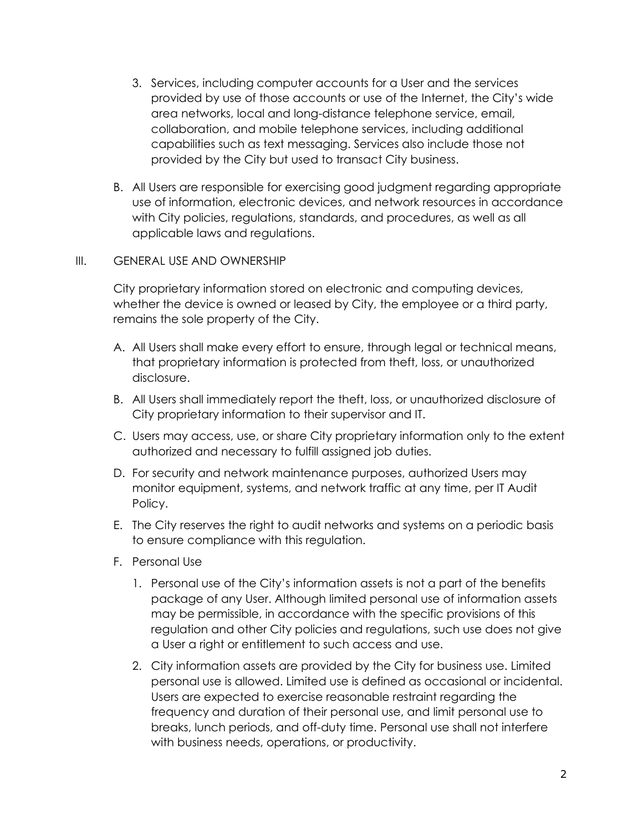- 3. Services, including computer accounts for a User and the services provided by use of those accounts or use of the Internet, the City's wide area networks, local and long-distance telephone service, email, collaboration, and mobile telephone services, including additional capabilities such as text messaging. Services also include those not provided by the City but used to transact City business.
- B. All Users are responsible for exercising good judgment regarding appropriate use of information, electronic devices, and network resources in accordance with City policies, regulations, standards, and procedures, as well as all applicable laws and regulations.

### III. GENERAL USE AND OWNERSHIP

City proprietary information stored on electronic and computing devices, whether the device is owned or leased by City, the employee or a third party, remains the sole property of the City.

- A. All Users shall make every effort to ensure, through legal or technical means, that proprietary information is protected from theft, loss, or unauthorized disclosure.
- B. All Users shall immediately report the theft, loss, or unauthorized disclosure of City proprietary information to their supervisor and IT.
- C. Users may access, use, or share City proprietary information only to the extent authorized and necessary to fulfill assigned job duties.
- D. For security and network maintenance purposes, authorized Users may monitor equipment, systems, and network traffic at any time, per IT Audit Policy.
- E. The City reserves the right to audit networks and systems on a periodic basis to ensure compliance with this regulation.
- F. Personal Use
	- 1. Personal use of the City's information assets is not a part of the benefits package of any User. Although limited personal use of information assets may be permissible, in accordance with the specific provisions of this regulation and other City policies and regulations, such use does not give a User a right or entitlement to such access and use.
	- 2. City information assets are provided by the City for business use. Limited personal use is allowed. Limited use is defined as occasional or incidental. Users are expected to exercise reasonable restraint regarding the frequency and duration of their personal use, and limit personal use to breaks, lunch periods, and off-duty time. Personal use shall not interfere with business needs, operations, or productivity.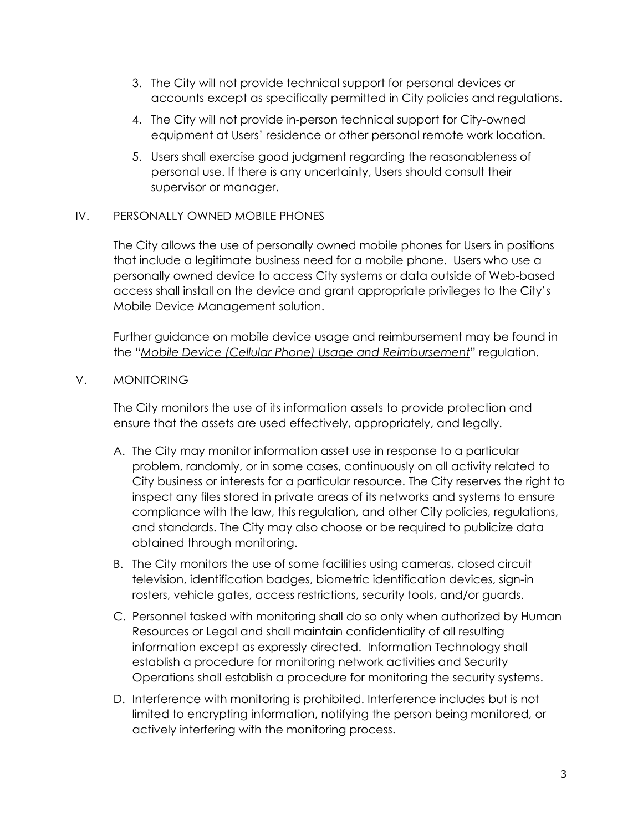- 3. The City will not provide technical support for personal devices or accounts except as specifically permitted in City policies and regulations.
- 4. The City will not provide in-person technical support for City-owned equipment at Users' residence or other personal remote work location.
- 5. Users shall exercise good judgment regarding the reasonableness of personal use. If there is any uncertainty, Users should consult their supervisor or manager.

## IV. PERSONALLY OWNED MOBILE PHONES

The City allows the use of personally owned mobile phones for Users in positions that include a legitimate business need for a mobile phone. Users who use a personally owned device to access City systems or data outside of Web-based access shall install on the device and grant appropriate privileges to the City's Mobile Device Management solution.

Further guidance on mobile device usage and reimbursement may be found in the "Mobile Device (Cellular Phone) Usage and Reimbursement" regulation.

V. MONITORING

The City monitors the use of its information assets to provide protection and ensure that the assets are used effectively, appropriately, and legally.

- A. The City may monitor information asset use in response to a particular problem, randomly, or in some cases, continuously on all activity related to City business or interests for a particular resource. The City reserves the right to inspect any files stored in private areas of its networks and systems to ensure compliance with the law, this regulation, and other City policies, regulations, and standards. The City may also choose or be required to publicize data obtained through monitoring.
- B. The City monitors the use of some facilities using cameras, closed circuit television, identification badges, biometric identification devices, sign-in rosters, vehicle gates, access restrictions, security tools, and/or guards.
- C. Personnel tasked with monitoring shall do so only when authorized by Human Resources or Legal and shall maintain confidentiality of all resulting information except as expressly directed. Information Technology shall establish a procedure for monitoring network activities and Security Operations shall establish a procedure for monitoring the security systems.
- D. Interference with monitoring is prohibited. Interference includes but is not limited to encrypting information, notifying the person being monitored, or actively interfering with the monitoring process.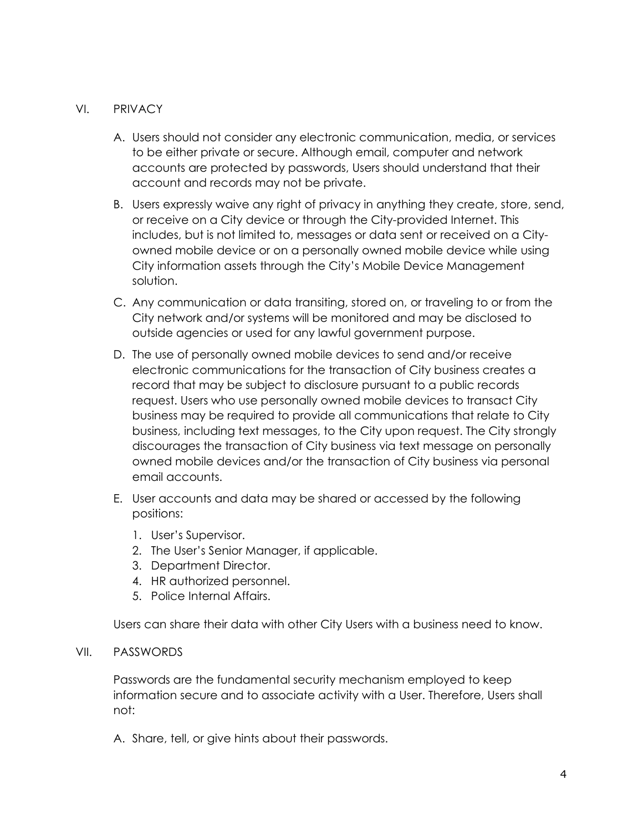### VI. PRIVACY

- A. Users should not consider any electronic communication, media, or services to be either private or secure. Although email, computer and network accounts are protected by passwords, Users should understand that their account and records may not be private.
- B. Users expressly waive any right of privacy in anything they create, store, send, or receive on a City device or through the City-provided Internet. This includes, but is not limited to, messages or data sent or received on a Cityowned mobile device or on a personally owned mobile device while using City information assets through the City's Mobile Device Management solution.
- C. Any communication or data transiting, stored on, or traveling to or from the City network and/or systems will be monitored and may be disclosed to outside agencies or used for any lawful government purpose.
- D. The use of personally owned mobile devices to send and/or receive electronic communications for the transaction of City business creates a record that may be subject to disclosure pursuant to a public records request. Users who use personally owned mobile devices to transact City business may be required to provide all communications that relate to City business, including text messages, to the City upon request. The City strongly discourages the transaction of City business via text message on personally owned mobile devices and/or the transaction of City business via personal email accounts.
- E. User accounts and data may be shared or accessed by the following positions:
	- 1. User's Supervisor.
	- 2. The User's Senior Manager, if applicable.
	- 3. Department Director.
	- 4. HR authorized personnel.
	- 5. Police Internal Affairs.

Users can share their data with other City Users with a business need to know.

#### VII. PASSWORDS

Passwords are the fundamental security mechanism employed to keep information secure and to associate activity with a User. Therefore, Users shall not:

A. Share, tell, or give hints about their passwords.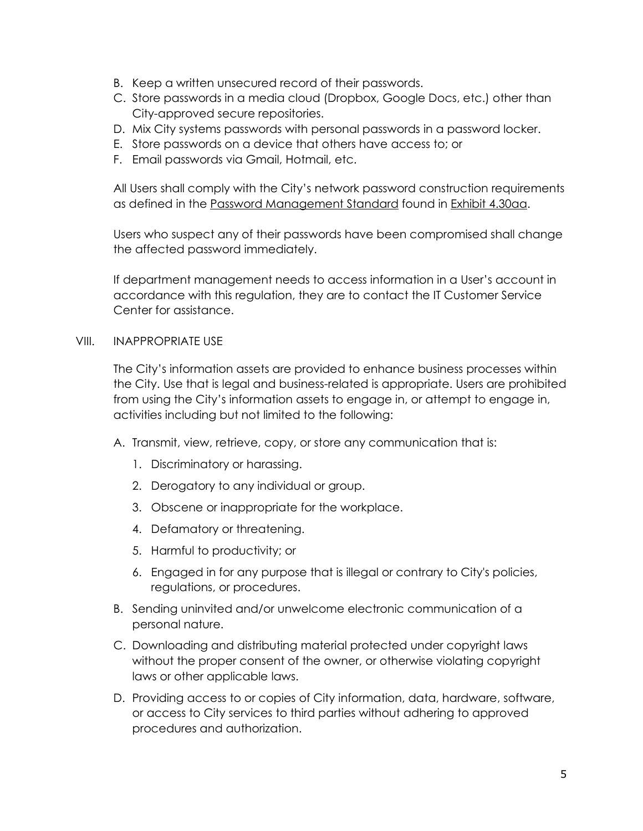- B. Keep a written unsecured record of their passwords.
- C. Store passwords in a media cloud (Dropbox, Google Docs, etc.) other than City-approved secure repositories.
- D. Mix City systems passwords with personal passwords in a password locker.
- E. Store passwords on a device that others have access to; or
- F. Email passwords via Gmail, Hotmail, etc.

All Users shall comply with the City's network password construction requirements as defined in the Password Management Standard found in Exhibit 4.30aa.

Users who suspect any of their passwords have been compromised shall change the affected password immediately.

If department management needs to access information in a User's account in accordance with this regulation, they are to contact the IT Customer Service Center for assistance.

#### VIII. INAPPROPRIATE USE

The City's information assets are provided to enhance business processes within the City. Use that is legal and business-related is appropriate. Users are prohibited from using the City's information assets to engage in, or attempt to engage in, activities including but not limited to the following:

- A. Transmit, view, retrieve, copy, or store any communication that is:
	- 1. Discriminatory or harassing.
	- 2. Derogatory to any individual or group.
	- 3. Obscene or inappropriate for the workplace.
	- 4. Defamatory or threatening.
	- 5. Harmful to productivity; or
	- 6. Engaged in for any purpose that is illegal or contrary to City's policies, regulations, or procedures.
- B. Sending uninvited and/or unwelcome electronic communication of a personal nature.
- C. Downloading and distributing material protected under copyright laws without the proper consent of the owner, or otherwise violating copyright laws or other applicable laws.
- D. Providing access to or copies of City information, data, hardware, software, or access to City services to third parties without adhering to approved procedures and authorization.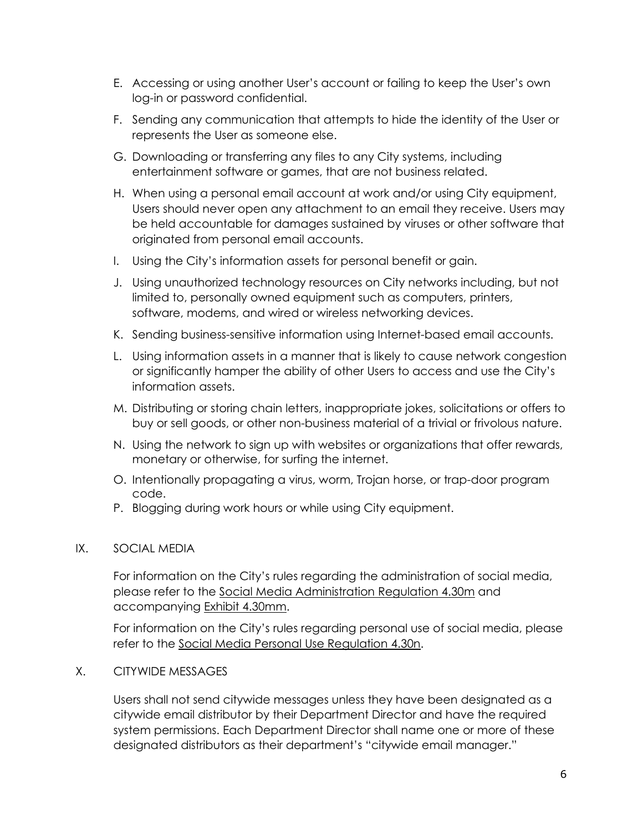- E. Accessing or using another User's account or failing to keep the User's own log-in or password confidential.
- F. Sending any communication that attempts to hide the identity of the User or represents the User as someone else.
- G. Downloading or transferring any files to any City systems, including entertainment software or games, that are not business related.
- H. When using a personal email account at work and/or using City equipment, Users should never open any attachment to an email they receive. Users may be held accountable for damages sustained by viruses or other software that originated from personal email accounts.
- I. Using the City's information assets for personal benefit or gain.
- J. Using unauthorized technology resources on City networks including, but not limited to, personally owned equipment such as computers, printers, software, modems, and wired or wireless networking devices.
- K. Sending business-sensitive information using Internet-based email accounts.
- L. Using information assets in a manner that is likely to cause network congestion or significantly hamper the ability of other Users to access and use the City's information assets.
- M. Distributing or storing chain letters, inappropriate jokes, solicitations or offers to buy or sell goods, or other non-business material of a trivial or frivolous nature.
- N. Using the network to sign up with websites or organizations that offer rewards, monetary or otherwise, for surfing the internet.
- O. Intentionally propagating a virus, worm, Trojan horse, or trap-door program code.
- P. Blogging during work hours or while using City equipment.

# IX. SOCIAL MEDIA

For information on the City's rules regarding the administration of social media, please refer to the Social Media Administration Regulation 4.30m and accompanying Exhibit 4.30mm.

For information on the City's rules regarding personal use of social media, please refer to the Social Media Personal Use Regulation 4.30n.

## X. CITYWIDE MESSAGES

Users shall not send citywide messages unless they have been designated as a citywide email distributor by their Department Director and have the required system permissions. Each Department Director shall name one or more of these designated distributors as their department's "citywide email manager."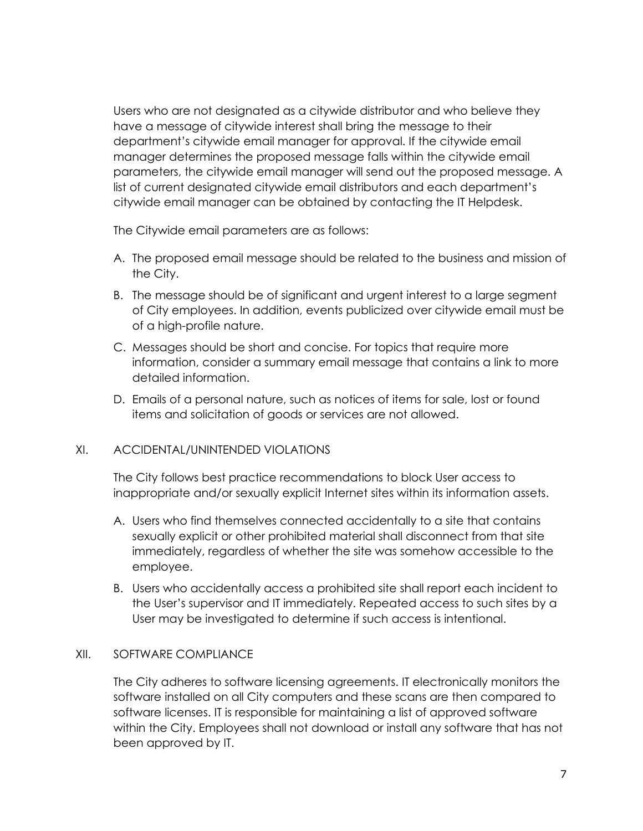Users who are not designated as a citywide distributor and who believe they have a message of citywide interest shall bring the message to their department's citywide email manager for approval. If the citywide email manager determines the proposed message falls within the citywide email parameters, the citywide email manager will send out the proposed message. A list of current designated citywide email distributors and each department's citywide email manager can be obtained by contacting the IT Helpdesk.

The Citywide email parameters are as follows:

- A. The proposed email message should be related to the business and mission of the City.
- B. The message should be of significant and urgent interest to a large segment of City employees. In addition, events publicized over citywide email must be of a high-profile nature.
- C. Messages should be short and concise. For topics that require more information, consider a summary email message that contains a link to more detailed information.
- D. Emails of a personal nature, such as notices of items for sale, lost or found items and solicitation of goods or services are not allowed.

## XI. ACCIDENTAL/UNINTENDED VIOLATIONS

The City follows best practice recommendations to block User access to inappropriate and/or sexually explicit Internet sites within its information assets.

- A. Users who find themselves connected accidentally to a site that contains sexually explicit or other prohibited material shall disconnect from that site immediately, regardless of whether the site was somehow accessible to the employee.
- B. Users who accidentally access a prohibited site shall report each incident to the User's supervisor and IT immediately. Repeated access to such sites by a User may be investigated to determine if such access is intentional.

#### XII. SOFTWARE COMPLIANCE

The City adheres to software licensing agreements. IT electronically monitors the software installed on all City computers and these scans are then compared to software licenses. IT is responsible for maintaining a list of approved software within the City. Employees shall not download or install any software that has not been approved by IT.